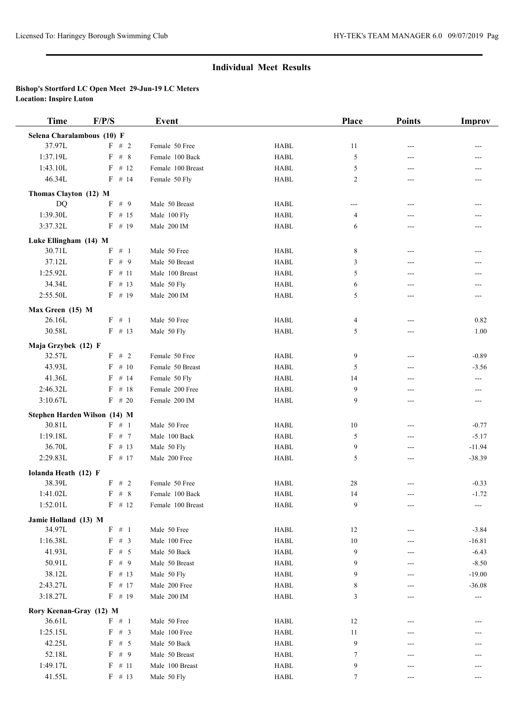## **Individual Meet Results**

## **Bishop's Stortford LC Open Meet 29-Jun-19 LC Meters Location: Inspire Luton**

| <b>Time</b>                  | F/P/S                 | <b>Event</b>      |                                | Place          | <b>Points</b> | Improv   |
|------------------------------|-----------------------|-------------------|--------------------------------|----------------|---------------|----------|
| Selena Charalambous (10) F   |                       |                   |                                |                |               |          |
| 37.97L                       | F # 2                 | Female 50 Free    | <b>HABL</b>                    | 11             | ---           | ---      |
| 1:37.19L                     | $\mathrm{F}$ # $\,$ 8 | Female 100 Back   | <b>HABL</b>                    | 5              | ---           | ---      |
| 1:43.10L                     | $F$ # 12              | Female 100 Breast | <b>HABL</b>                    | 5              | ---           |          |
| 46.34L                       | $F$ # 14              | Female 50 Fly     | <b>HABL</b>                    | 2              | ---           |          |
| Thomas Clayton (12) M        |                       |                   |                                |                |               |          |
| <b>DQ</b>                    | F # 9                 | Male 50 Breast    | <b>HABL</b>                    | $---$          | $---$         |          |
| 1:39.30L                     | $F$ # 15              | Male 100 Fly      | <b>HABL</b>                    | $\overline{4}$ | ---           |          |
| 3:37.32L                     | $F$ # 19              | Male 200 IM       | <b>HABL</b>                    | 6              | ---           | ---      |
| Luke Ellingham (14) M        |                       |                   |                                |                |               |          |
| 30.71L                       | F # 1                 | Male 50 Free      | <b>HABL</b>                    | 8              | $---$         | ---      |
| 37.12L                       | F # 9                 | Male 50 Breast    | <b>HABL</b>                    | 3              | ---           | ---      |
| 1:25.92L                     | $F$ # 11              | Male 100 Breast   | <b>HABL</b>                    | 5              | ---           | ---      |
| 34.34L                       | $F$ # 13              | Male 50 Fly       | <b>HABL</b>                    | 6              | ---           |          |
| 2:55.50L                     | $F$ # 19              | Male 200 IM       | <b>HABL</b>                    | 5              | ---           | ---      |
|                              |                       |                   |                                |                |               |          |
| Max Green (15) M<br>26.16L   | F # 1                 | Male 50 Free      | <b>HABL</b>                    | 4              | $---$         | 0.82     |
| 30.58L                       | $F$ # 13              | Male 50 Fly       | <b>HABL</b>                    | 5              | ---           | 1.00     |
|                              |                       |                   |                                |                |               |          |
| Maja Grzybek (12) F          |                       |                   |                                |                |               |          |
| 32.57L                       | F # 2                 | Female 50 Free    | <b>HABL</b>                    | 9              | $---$         | $-0.89$  |
| 43.93L                       | $F$ # 10              | Female 50 Breast  | <b>HABL</b>                    | 5              | ---           | $-3.56$  |
| 41.36L                       | $F$ # 14              | Female 50 Fly     | <b>HABL</b>                    | 14             | $---$         | $---$    |
| 2:46.32L                     | $F$ # 18              | Female 200 Free   | <b>HABL</b>                    | 9              | ---           |          |
| 3:10.67L                     | $F$ # 20              | Female 200 IM     | <b>HABL</b>                    | 9              | ---           | $---$    |
| Stephen Harden Wilson (14) M |                       |                   |                                |                |               |          |
| 30.81L                       | $\mathbf{F}$ # 1      | Male 50 Free      | <b>HABL</b>                    | 10             | ---           | $-0.77$  |
| 1:19.18L                     | $F$ # 7               | Male 100 Back     | <b>HABL</b>                    | 5              | ---           | $-5.17$  |
| 36.70L                       | $F$ # 13              | Male 50 Fly       | <b>HABL</b>                    | 9              | ---           | $-11.94$ |
| 2:29.83L                     | $F$ # 17              | Male 200 Free     | <b>HABL</b>                    | 5              | $---$         | $-38.39$ |
| Iolanda Heath (12) F         |                       |                   |                                |                |               |          |
| 38.39L                       | $F$ # 2               | Female 50 Free    | <b>HABL</b>                    | 28             | ---           | $-0.33$  |
| 1:41.02L                     | $F$ # 8               | Female 100 Back   | <b>HABL</b>                    | 14             | $---$         | $-1.72$  |
| 1:52.01L                     | $F$ # 12              | Female 100 Breast | <b>HABL</b>                    | 9              | ---           |          |
| Jamie Holland (13) M         |                       |                   |                                |                |               |          |
| 34.97L                       | $\mathbf{F}$ # 1      | Male 50 Free      | <b>HABL</b>                    | 12             | ---           | $-3.84$  |
| 1:16.38L                     | $\mathbf{F}$ # 3      | Male 100 Free     | <b>HABL</b>                    | 10             | ---           | $-16.81$ |
| 41.93L                       | $F$ # 5               | Male 50 Back      | HABL                           | 9              | ---           | $-6.43$  |
| 50.91L                       | F # 9                 | Male 50 Breast    | ${\rm H}{\bf A}{\bf B}{\bf L}$ | 9              | ---           | $-8.50$  |
| 38.12L                       | $F$ # 13              | Male 50 Fly       | <b>HABL</b>                    | 9              | ---           | $-19.00$ |
| 2:43.27L                     | $F$ # 17              | Male 200 Free     | <b>HABL</b>                    | 8              | ---           | $-36.08$ |
| 3:18.27L                     | $F$ # 19              | Male 200 IM       | HABL                           | 3              | ---           | ---      |
| Rory Keenan-Gray (12) M      |                       |                   |                                |                |               |          |
| 36.61L                       | F # 1                 | Male 50 Free      | HABL                           | 12             | ---           |          |
| 1:25.15L                     | $F$ # 3               | Male 100 Free     | HABL                           | 11             |               |          |
| 42.25L                       | $F$ # 5               | Male 50 Back      | <b>HABL</b>                    | 9              | ---           |          |
| 52.18L                       | $F$ # 9               | Male 50 Breast    | <b>HABL</b>                    | 7              | ---           |          |
| 1:49.17L                     | $F$ # 11              | Male 100 Breast   | HABL                           | 9              | ---           |          |
| 41.55L                       | $F$ # 13              | Male 50 Fly       | HABL                           | 7              | ---           | ---      |